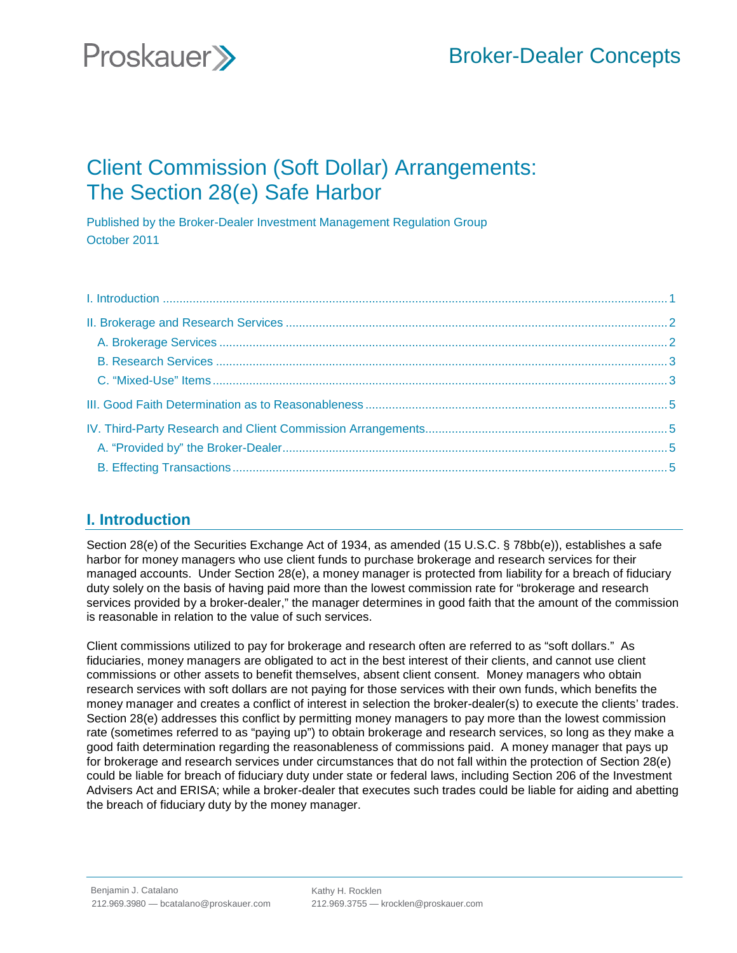# Broker-Dealer Concepts



## Client Commission (Soft Dollar) Arrangements: The Section 28(e) Safe Harbor

Published by the Broker-Dealer Investment Management Regulation Group October 2011

### **I. Introduction**

Section 28(e) of the Securities Exchange Act of 1934, as amended (15 U.S.C. § 78bb(e)), establishes a safe harbor for money managers who use client funds to purchase brokerage and research services for their managed accounts. Under Section 28(e), a money manager is protected from liability for a breach of fiduciary duty solely on the basis of having paid more than the lowest commission rate for "brokerage and research services provided by a broker-dealer," the manager determines in good faith that the amount of the commission is reasonable in relation to the value of such services.

Client commissions utilized to pay for brokerage and research often are referred to as "soft dollars." As fiduciaries, money managers are obligated to act in the best interest of their clients, and cannot use client commissions or other assets to benefit themselves, absent client consent. Money managers who obtain research services with soft dollars are not paying for those services with their own funds, which benefits the money manager and creates a conflict of interest in selection the broker-dealer(s) to execute the clients' trades. Section 28(e) addresses this conflict by permitting money managers to pay more than the lowest commission rate (sometimes referred to as "paying up") to obtain brokerage and research services, so long as they make a good faith determination regarding the reasonableness of commissions paid. A money manager that pays up for brokerage and research services under circumstances that do not fall within the protection of Section 28(e) could be liable for breach of fiduciary duty under state or federal laws, including Section 206 of the Investment Advisers Act and ERISA; while a broker-dealer that executes such trades could be liable for aiding and abetting the breach of fiduciary duty by the money manager.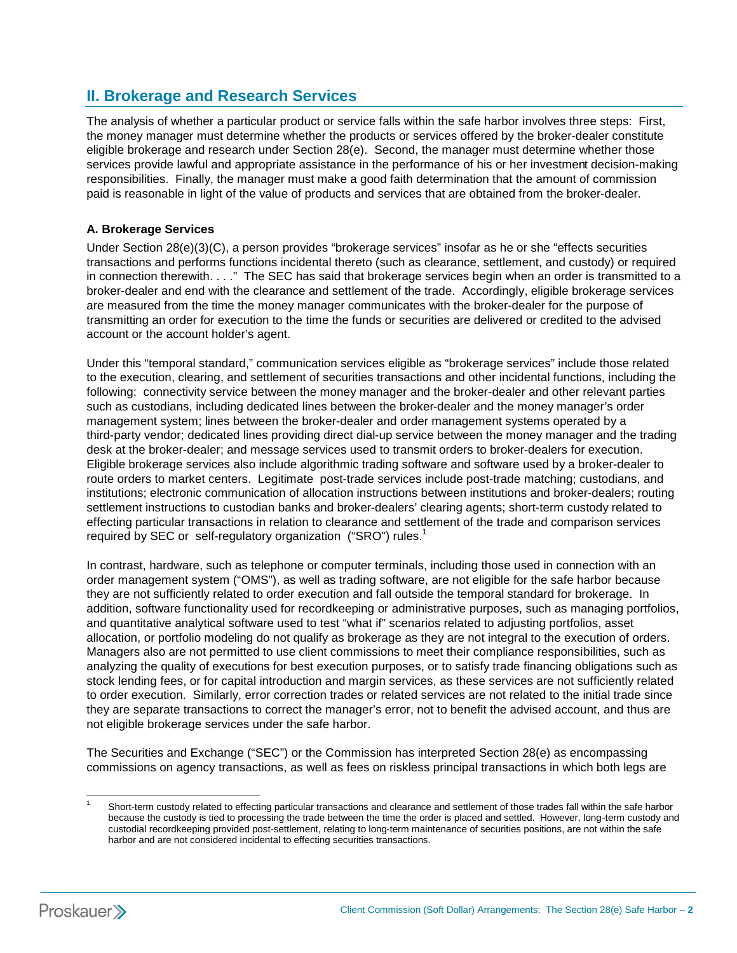## **II. Brokerage and Research Services**

The analysis of whether a particular product or service falls within the safe harbor involves three steps: First, the money manager must determine whether the products or services offered by the broker-dealer constitute eligible brokerage and research under Section 28(e). Second, the manager must determine whether those services provide lawful and appropriate assistance in the performance of his or her investment decision-making responsibilities. Finally, the manager must make a good faith determination that the amount of commission paid is reasonable in light of the value of products and services that are obtained from the broker-dealer.

#### **A. Brokerage Services**

Under Section 28(e)(3)(C), a person provides "brokerage services" insofar as he or she "effects securities transactions and performs functions incidental thereto (such as clearance, settlement, and custody) or required in connection therewith. . . ." The SEC has said that brokerage services begin when an order is transmitted to a broker-dealer and end with the clearance and settlement of the trade. Accordingly, eligible brokerage services are measured from the time the money manager communicates with the broker-dealer for the purpose of transmitting an order for execution to the time the funds or securities are delivered or credited to the advised account or the account holder's agent.

Under this "temporal standard," communication services eligible as "brokerage services" include those related to the execution, clearing, and settlement of securities transactions and other incidental functions, including the following:connectivity service between the money manager and the broker-dealer and other relevant parties such as custodians, including dedicated lines between the broker-dealer and the money manager's order management system; lines between the broker-dealer and order management systems operated by a third-party vendor; dedicated lines providing direct dial-up service between the money manager and the trading desk at the broker-dealer; and message services used to transmit orders to broker-dealers for execution. Eligible brokerage services also include algorithmic trading software and software used by a broker-dealer to route orders to market centers. Legitimate post-trade services include post-trade matching; custodians, and institutions; electronic communication of allocation instructions between institutions and broker-dealers; routing settlement instructions to custodian banks and broker-dealers' clearing agents; short-term custody related to effecting particular transactions in relation to clearance and settlement of the trade and comparison services required by SEC or self-regulatory organization ("SRO") rules.<sup>1</sup>

In contrast, hardware, such as telephone or computer terminals, including those used in connection with an order management system ("OMS"), as well as trading software, are not eligible for the safe harbor because they are not sufficiently related to order execution and fall outside the temporal standard for brokerage. In addition, software functionality used for recordkeeping or administrative purposes, such as managing portfolios, and quantitative analytical software used to test "what if" scenarios related to adjusting portfolios, asset allocation, or portfolio modeling do not qualify as brokerage as they are not integral to the execution of orders. Managers also are not permitted to use client commissions to meet their compliance responsibilities, such as analyzing the quality of executions for best execution purposes, or to satisfy trade financing obligations such as stock lending fees, or for capital introduction and margin services, as these services are not sufficiently related to order execution. Similarly, error correction trades or related services are not related to the initial trade since they are separate transactions to correct the manager's error, not to benefit the advised account, and thus are not eligible brokerage services under the safe harbor.

The Securities and Exchange ("SEC") or the Commission has interpreted Section 28(e) as encompassing commissions on agency transactions, as well as fees on riskless principal transactions in which both legs are



1

Short-term custody related to effecting particular transactions and clearance and settlement of those trades fall within the safe harbor because the custody is tied to processing the trade between the time the order is placed and settled. However, long-term custody and custodial recordkeeping provided post-settlement, relating to long-term maintenance of securities positions, are not within the safe harbor and are not considered incidental to effecting securities transactions.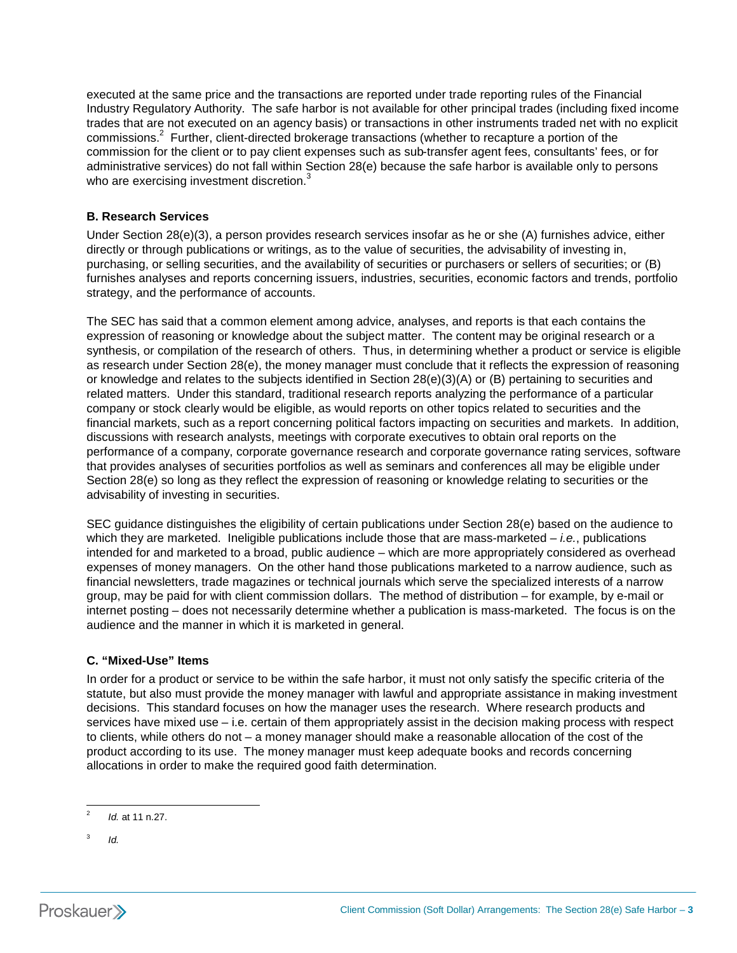executed at the same price and the transactions are reported under trade reporting rules of the Financial Industry Regulatory Authority. The safe harbor is not available for other principal trades (including fixed income trades that are not executed on an agency basis) or transactions in other instruments traded net with no explicit commissions.<sup>2</sup> Further, client-directed brokerage transactions (whether to recapture a portion of the commission for the client or to pay client expenses such as sub-transfer agent fees, consultants' fees, or for administrative services) do not fall within Section 28(e) because the safe harbor is available only to persons who are exercising investment discretion.<sup>3</sup>

#### **B. Research Services**

Under Section 28(e)(3), a person provides research services insofar as he or she (A) furnishes advice, either directly or through publications or writings, as to the value of securities, the advisability of investing in, purchasing, or selling securities, and the availability of securities or purchasers or sellers of securities; or (B) furnishes analyses and reports concerning issuers, industries, securities, economic factors and trends, portfolio strategy, and the performance of accounts.

The SEC has said that a common element among advice, analyses, and reports is that each contains the expression of reasoning or knowledge about the subject matter. The content may be original research or a synthesis, or compilation of the research of others. Thus, in determining whether a product or service is eligible as research under Section 28(e), the money manager must conclude that it reflects the expression of reasoning or knowledge and relates to the subjects identified in Section 28(e)(3)(A) or (B) pertaining to securities and related matters. Under this standard, traditional research reports analyzing the performance of a particular company or stock clearly would be eligible, as would reports on other topics related to securities and the financial markets, such as a report concerning political factors impacting on securities and markets. In addition, discussions with research analysts, meetings with corporate executives to obtain oral reports on the performance of a company, corporate governance research and corporate governance rating services, software that provides analyses of securities portfolios as well as seminars and conferences all may be eligible under Section 28(e) so long as they reflect the expression of reasoning or knowledge relating to securities or the advisability of investing in securities.

SEC guidance distinguishes the eligibility of certain publications under Section 28(e) based on the audience to which they are marketed. Ineligible publications include those that are mass-marketed – *i.e.*, publications intended for and marketed to a broad, public audience – which are more appropriately considered as overhead expenses of money managers. On the other hand those publications marketed to a narrow audience, such as financial newsletters, trade magazines or technical journals which serve the specialized interests of a narrow group, may be paid for with client commission dollars. The method of distribution – for example, by e-mail or internet posting – does not necessarily determine whether a publication is mass-marketed. The focus is on the audience and the manner in which it is marketed in general.

#### **C. "Mixed-Use" Items**

In order for a product or service to be within the safe harbor, it must not only satisfy the specific criteria of the statute, but also must provide the money manager with lawful and appropriate assistance in making investment decisions. This standard focuses on how the manager uses the research. Where research products and services have mixed use – i.e. certain of them appropriately assist in the decision making process with respect to clients, while others do not – a money manager should make a reasonable allocation of the cost of the product according to its use. The money manager must keep adequate books and records concerning allocations in order to make the required good faith determination.

 $\frac{1}{2}$ *Id.* at 11 n.27.

<sup>3</sup> *Id.*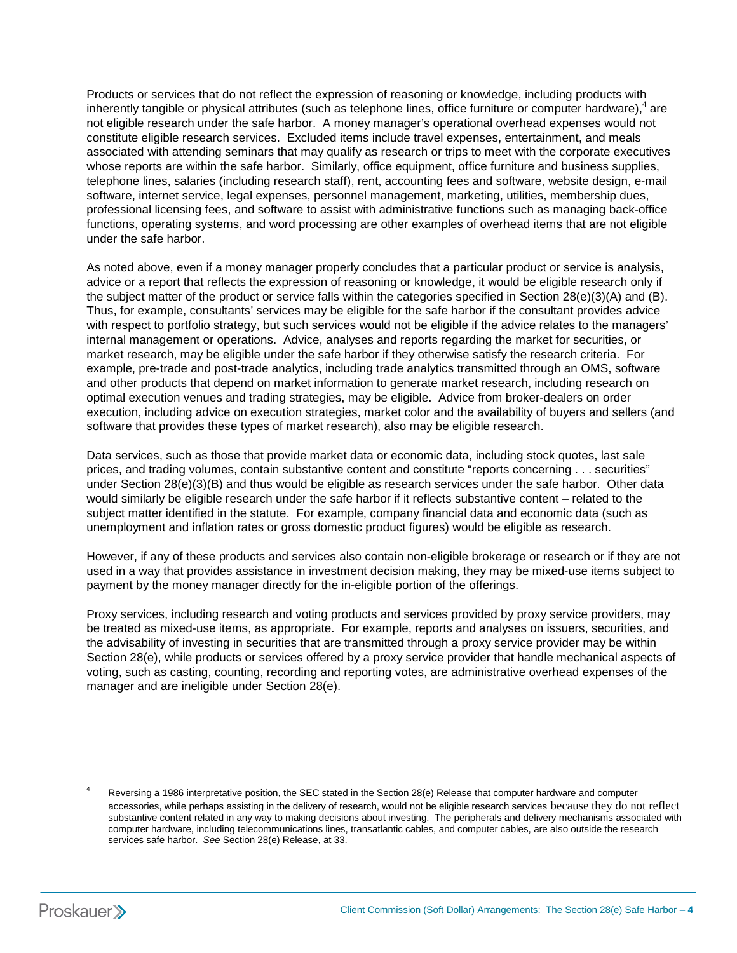Products or services that do not reflect the expression of reasoning or knowledge, including products with inherently tangible or physical attributes (such as telephone lines, office furniture or computer hardware),<sup>4</sup> are not eligible research under the safe harbor. A money manager's operational overhead expenses would not constitute eligible research services. Excluded items include travel expenses, entertainment, and meals associated with attending seminars that may qualify as research or trips to meet with the corporate executives whose reports are within the safe harbor. Similarly, office equipment, office furniture and business supplies, telephone lines, salaries (including research staff), rent, accounting fees and software, website design, e-mail software, internet service, legal expenses, personnel management, marketing, utilities, membership dues, professional licensing fees, and software to assist with administrative functions such as managing back-office functions, operating systems, and word processing are other examples of overhead items that are not eligible under the safe harbor.

As noted above, even if a money manager properly concludes that a particular product or service is analysis, advice or a report that reflects the expression of reasoning or knowledge, it would be eligible research only if the subject matter of the product or service falls within the categories specified in Section 28(e)(3)(A) and (B). Thus, for example, consultants' services may be eligible for the safe harbor if the consultant provides advice with respect to portfolio strategy, but such services would not be eligible if the advice relates to the managers' internal management or operations. Advice, analyses and reports regarding the market for securities, or market research, may be eligible under the safe harbor if they otherwise satisfy the research criteria. For example, pre-trade and post-trade analytics, including trade analytics transmitted through an OMS, software and other products that depend on market information to generate market research, including research on optimal execution venues and trading strategies, may be eligible. Advice from broker-dealers on order execution, including advice on execution strategies, market color and the availability of buyers and sellers (and software that provides these types of market research), also may be eligible research.

Data services, such as those that provide market data or economic data, including stock quotes, last sale prices, and trading volumes, contain substantive content and constitute "reports concerning . . . securities" under Section 28(e)(3)(B) and thus would be eligible as research services under the safe harbor. Other data would similarly be eligible research under the safe harbor if it reflects substantive content – related to the subject matter identified in the statute. For example, company financial data and economic data (such as unemployment and inflation rates or gross domestic product figures) would be eligible as research.

However, if any of these products and services also contain non-eligible brokerage or research or if they are not used in a way that provides assistance in investment decision making, they may be mixed-use items subject to payment by the money manager directly for the in-eligible portion of the offerings.

Proxy services, including research and voting products and services provided by proxy service providers, may be treated as mixed-use items, as appropriate. For example, reports and analyses on issuers, securities, and the advisability of investing in securities that are transmitted through a proxy service provider may be within Section 28(e), while products or services offered by a proxy service provider that handle mechanical aspects of voting, such as casting, counting, recording and reporting votes, are administrative overhead expenses of the manager and are ineligible under Section 28(e).

<sup>1</sup> Reversing a 1986 interpretative position, the SEC stated in the Section 28(e) Release that computer hardware and computer accessories, while perhaps assisting in the delivery of research, would not be eligible research services because they do not reflect substantive content related in any way to making decisions about investing. The peripherals and delivery mechanisms associated with computer hardware, including telecommunications lines, transatlantic cables, and computer cables, are also outside the research services safe harbor. *See* Section 28(e) Release, at 33.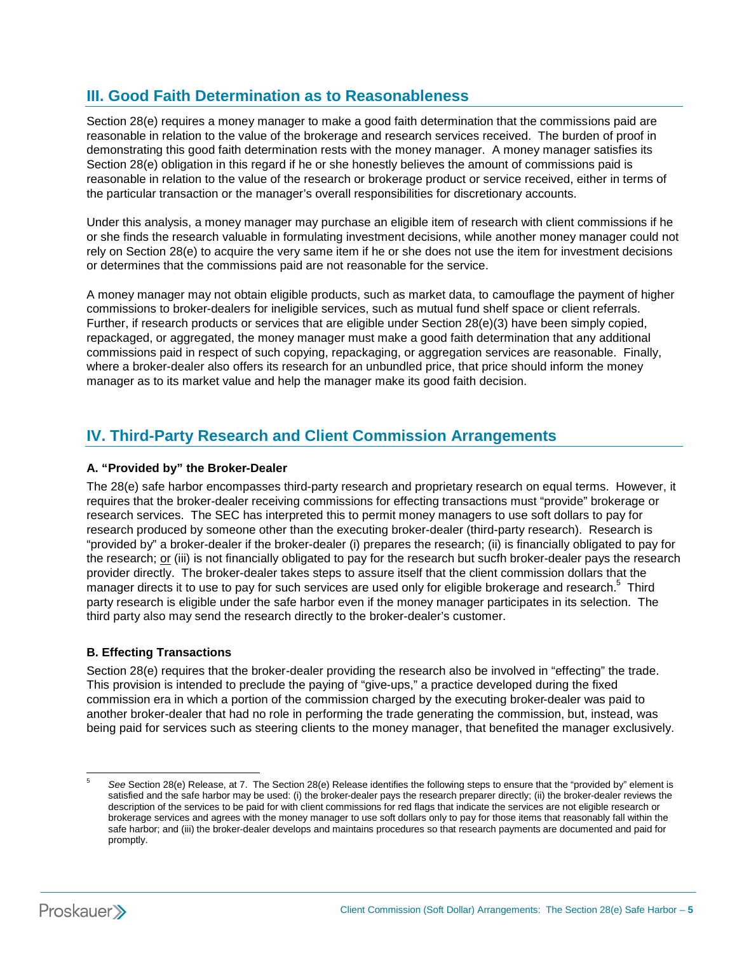## **III. Good Faith Determination as to Reasonableness**

Section 28(e) requires a money manager to make a good faith determination that the commissions paid are reasonable in relation to the value of the brokerage and research services received. The burden of proof in demonstrating this good faith determination rests with the money manager. A money manager satisfies its Section 28(e) obligation in this regard if he or she honestly believes the amount of commissions paid is reasonable in relation to the value of the research or brokerage product or service received, either in terms of the particular transaction or the manager's overall responsibilities for discretionary accounts.

Under this analysis, a money manager may purchase an eligible item of research with client commissions if he or she finds the research valuable in formulating investment decisions, while another money manager could not rely on Section 28(e) to acquire the very same item if he or she does not use the item for investment decisions or determines that the commissions paid are not reasonable for the service.

A money manager may not obtain eligible products, such as market data, to camouflage the payment of higher commissions to broker-dealers for ineligible services, such as mutual fund shelf space or client referrals. Further, if research products or services that are eligible under Section 28(e)(3) have been simply copied, repackaged, or aggregated, the money manager must make a good faith determination that any additional commissions paid in respect of such copying, repackaging, or aggregation services are reasonable. Finally, where a broker-dealer also offers its research for an unbundled price, that price should inform the money manager as to its market value and help the manager make its good faith decision.

## **IV. Third-Party Research and Client Commission Arrangements**

#### **A. "Provided by" the Broker-Dealer**

The 28(e) safe harbor encompasses third-party research and proprietary research on equal terms. However, it requires that the broker-dealer receiving commissions for effecting transactions must "provide" brokerage or research services. The SEC has interpreted this to permit money managers to use soft dollars to pay for research produced by someone other than the executing broker-dealer (third-party research). Research is "provided by" a broker-dealer if the broker-dealer (i) prepares the research; (ii) is financially obligated to pay for the research; or (iii) is not financially obligated to pay for the research but sucfh broker-dealer pays the research provider directly. The broker-dealer takes steps to assure itself that the client commission dollars that the manager directs it to use to pay for such services are used only for eligible brokerage and research.<sup>5</sup> Third party research is eligible under the safe harbor even if the money manager participates in its selection. The third party also may send the research directly to the broker-dealer's customer.

### **B. Effecting Transactions**

Section 28(e) requires that the broker-dealer providing the research also be involved in "effecting" the trade. This provision is intended to preclude the paying of "give-ups," a practice developed during the fixed commission era in which a portion of the commission charged by the executing broker-dealer was paid to another broker-dealer that had no role in performing the trade generating the commission, but, instead, was being paid for services such as steering clients to the money manager, that benefited the manager exclusively.

-

<sup>5</sup> *See* Section 28(e) Release, at 7. The Section 28(e) Release identifies the following steps to ensure that the "provided by" element is satisfied and the safe harbor may be used: (i) the broker-dealer pays the research preparer directly; (ii) the broker-dealer reviews the description of the services to be paid for with client commissions for red flags that indicate the services are not eligible research or brokerage services and agrees with the money manager to use soft dollars only to pay for those items that reasonably fall within the safe harbor; and (iii) the broker-dealer develops and maintains procedures so that research payments are documented and paid for promptly.